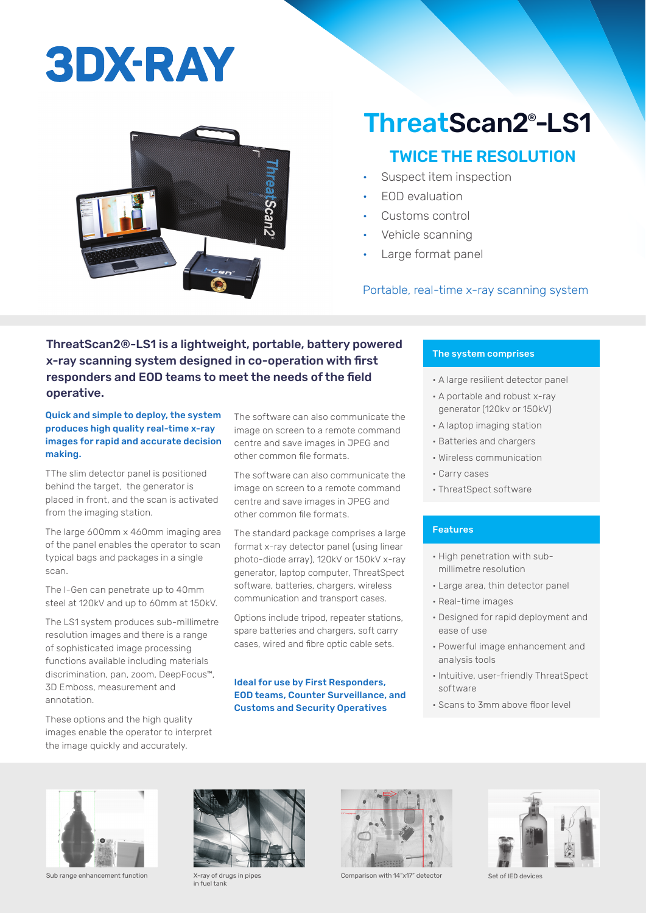# **3DX-RAY**



### ThreatScan2® -LS1

### TWICE THE RESOLUTION

- Suspect item inspection
- EOD evaluation
- Customs control
- Vehicle scanning
- Large format panel

#### Portable, real-time x-ray scanning system

#### ThreatScan2®-LS1 is a lightweight, portable, battery powered x-ray scanning system designed in co-operation with first responders and EOD teams to meet the needs of the field operative.

Quick and simple to deploy, the system produces high quality real-time x-ray images for rapid and accurate decision making.

TThe slim detector panel is positioned behind the target, the generator is placed in front, and the scan is activated from the imaging station.

The large 600mm x 460mm imaging area of the panel enables the operator to scan typical bags and packages in a single scan.

The I-Gen can penetrate up to 40mm steel at 120kV and up to 60mm at 150kV.

The LS1 system produces sub-millimetre resolution images and there is a range of sophisticated image processing functions available including materials discrimination, pan, zoom, DeepFocus™, 3D Emboss, measurement and annotation.

These options and the high quality images enable the operator to interpret the image quickly and accurately.

The software can also communicate the image on screen to a remote command centre and save images in JPEG and other common file formats.

The software can also communicate the image on screen to a remote command centre and save images in JPEG and other common file formats.

The standard package comprises a large format x-ray detector panel (using linear photo-diode array), 120kV or 150kV x-ray generator, laptop computer, ThreatSpect software, batteries, chargers, wireless communication and transport cases.

Options include tripod, repeater stations, spare batteries and chargers, soft carry cases, wired and fibre optic cable sets.

#### Ideal for use by First Responders, EOD teams, Counter Surveillance, and Customs and Security Operatives

#### The system comprises

- A large resilient detector panel
- A portable and robust x-ray generator (120kv or 150kV)
- A laptop imaging station
- Batteries and chargers
- Wireless communication
- Carry cases
- ThreatSpect software

#### Features

- High penetration with submillimetre resolution
- Large area, thin detector panel
- Real-time images
- Designed for rapid deployment and ease of use
- Powerful image enhancement and analysis tools
- Intuitive, user-friendly ThreatSpect software
- Scans to 3mm above floor level



Sub range enhancement function X-ray of drugs in pipes



in fuel tank



Comparison with 14"x17" detector Set of IED devices